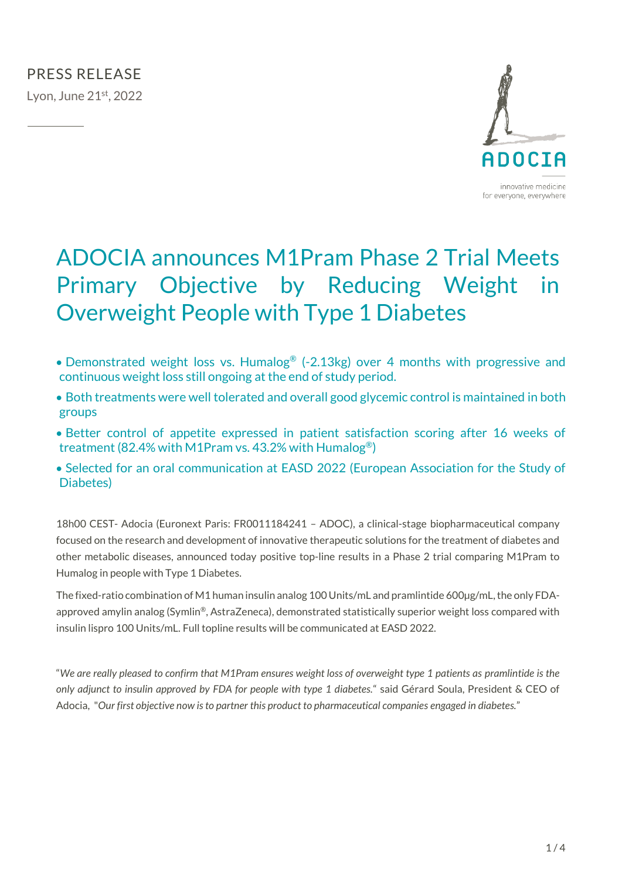

# ADOCIA announces M1Pram Phase 2 Trial Meets Primary Objective by Reducing Weight in Overweight People with Type 1 Diabetes

- Demonstrated weight loss vs. Humalog<sup>®</sup> (-2.13kg) over 4 months with progressive and continuous weight loss still ongoing at the end of study period.
- Both treatments were well tolerated and overall good glycemic control is maintained in both groups
- Better control of appetite expressed in patient satisfaction scoring after 16 weeks of treatment (82.4% with M1Pram vs. 43.2% with Humalog®)
- Selected for an oral communication at EASD 2022 (European Association for the Study of Diabetes)

18h00 CEST- Adocia (Euronext Paris: FR0011184241 – ADOC), a clinical-stage biopharmaceutical company focused on the research and development of innovative therapeutic solutions for the treatment of diabetes and other metabolic diseases, announced today positive top-line results in a Phase 2 trial comparing M1Pram to Humalog in people with Type 1 Diabetes.

The fixed-ratio combination of M1 human insulin analog 100 Units/mL and pramlintide 600µg/mL, the only FDAapproved amylin analog (Symlin®, AstraZeneca), demonstrated statistically superior weight loss compared with insulin lispro 100 Units/mL. Full topline results will be communicated at EASD 2022.

"*We are really pleased to confirm that M1Pram ensures weight loss of overweight type 1 patients as pramlintide is the only adjunct to insulin approved by FDA for people with type 1 diabetes.*" said Gérard Soula, President & CEO of Adocia, "*Our first objective now is to partner this product to pharmaceutical companies engaged in diabetes.*"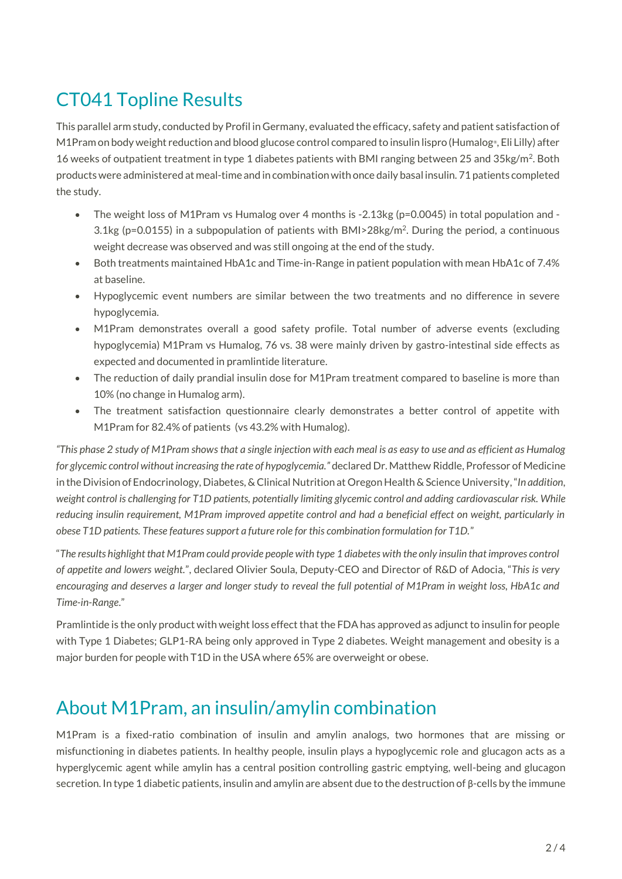## CT041 Topline Results

This parallel arm study, conducted by Profil in Germany, evaluated the efficacy, safety and patient satisfaction of M1Pram on body weight reduction and blood glucose control compared to insulin lispro (Humalog® , Eli Lilly) after 16 weeks of outpatient treatment in type 1 diabetes patients with BMI ranging between 25 and 35kg/m<sup>2</sup>. Both products were administered at meal-time and in combination with once daily basal insulin. 71 patients completed the study.

- The weight loss of M1Pram vs Humalog over 4 months is -2.13kg (p=0.0045) in total population and -3.1kg ( $p=0.0155$ ) in a subpopulation of patients with BMI>28kg/m<sup>2</sup>. During the period, a continuous weight decrease was observed and was still ongoing at the end of the study.
- Both treatments maintained HbA1c and Time-in-Range in patient population with mean HbA1c of 7.4% at baseline.
- Hypoglycemic event numbers are similar between the two treatments and no difference in severe hypoglycemia.
- M1Pram demonstrates overall a good safety profile. Total number of adverse events (excluding hypoglycemia) M1Pram vs Humalog, 76 vs. 38 were mainly driven by gastro-intestinal side effects as expected and documented in pramlintide literature.
- The reduction of daily prandial insulin dose for M1Pram treatment compared to baseline is more than 10% (no change in Humalog arm).
- The treatment satisfaction questionnaire clearly demonstrates a better control of appetite with M1Pram for 82.4% of patients (vs 43.2% with Humalog).

*"This phase 2 study of M1Pram shows that a single injection with each meal is as easy to use and as efficient as Humalog for glycemic control without increasing the rate of hypoglycemia."* declared Dr. Matthew Riddle, Professor of Medicine in the Division of Endocrinology, Diabetes, & Clinical Nutrition at Oregon Health & Science University,"*In addition, weight control is challenging for T1D patients, potentially limiting glycemic control and adding cardiovascular risk. While reducing insulin requirement, M1Pram improved appetite control and had a beneficial effect on weight, particularly in obese T1D patients. These features support a future role for this combination formulation for T1D.*"

"*The results highlight that M1Pram could provide people with type 1 diabetes with the only insulin that improves control of appetite and lowers weight.*", declared Olivier Soula, Deputy-CEO and Director of R&D of Adocia, "*This is very encouraging and deserves a larger and longer study to reveal the full potential of M1Pram in weight loss, HbA1c and Time-in-Range*."

Pramlintide is the only product with weight loss effect that the FDA has approved as adjunct to insulin for people with Type 1 Diabetes; GLP1-RA being only approved in Type 2 diabetes. Weight management and obesity is a major burden for people with T1D in the USA where 65% are overweight or obese.

### About M1Pram, an insulin/amylin combination

M1Pram is a fixed-ratio combination of insulin and amylin analogs, two hormones that are missing or misfunctioning in diabetes patients. In healthy people, insulin plays a hypoglycemic role and glucagon acts as a hyperglycemic agent while amylin has a central position controlling gastric emptying, well-being and glucagon secretion. In type 1 diabetic patients, insulin and amylin are absent due to the destruction of β-cells by the immune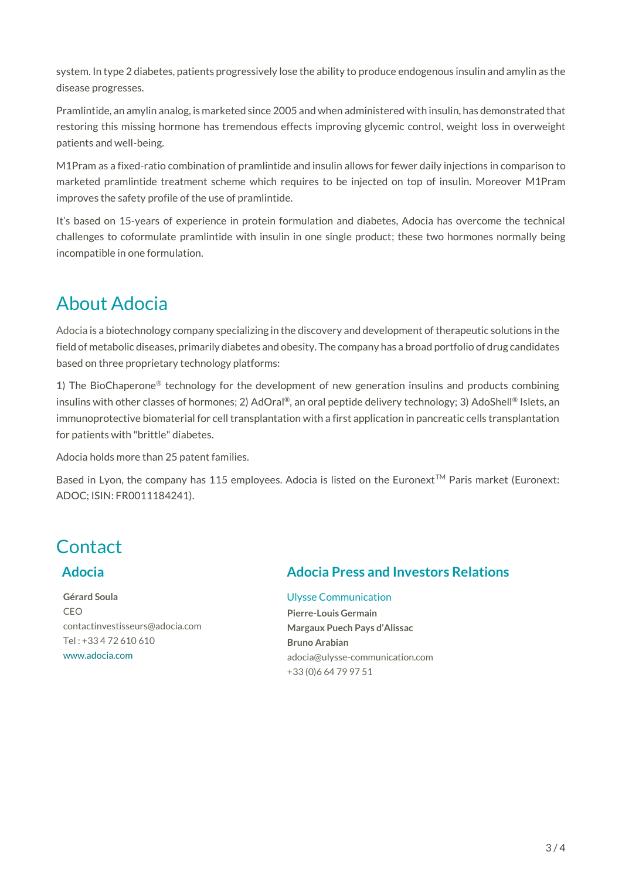system. In type 2 diabetes, patients progressively lose the ability to produce endogenous insulin and amylin as the disease progresses.

Pramlintide, an amylin analog, is marketed since 2005 and when administered with insulin, has demonstrated that restoring this missing hormone has tremendous effects improving glycemic control, weight loss in overweight patients and well-being.

M1Pram as a fixed-ratio combination of pramlintide and insulin allows for fewer daily injections in comparison to marketed pramlintide treatment scheme which requires to be injected on top of insulin. Moreover M1Pram improves the safety profile of the use of pramlintide.

It's based on 15-years of experience in protein formulation and diabetes, Adocia has overcome the technical challenges to coformulate pramlintide with insulin in one single product; these two hormones normally being incompatible in one formulation.

### About Adocia

[Adocia](http://www.adocia.com/) is a biotechnology company specializing in the discovery and development of therapeutic solutions in the field of metabolic diseases, primarily diabetes and obesity. The company has a broad portfolio of drug candidates based on three proprietary technology platforms:

1) The BioChaperone® technology for the development of new generation insulins and products combining insulins with other classes of hormones; 2) AdOral®, an oral peptide delivery technology; 3) AdoShell® Islets, an immunoprotective biomaterial for cell transplantation with a first application in pancreatic cells transplantation for patients with "brittle" diabetes.

Adocia holds more than 25 patent families.

Based in Lyon, the company has 115 employees. Adocia is listed on the Euronext<sup>TM</sup> Paris market (Euronext: ADOC; ISIN: FR0011184241).

### **Contact**

#### **Adocia**

**Gérard Soula** CEO contactinvestisseurs@adocia.com Tel : +33 4 72 610 610 www.adocia.com

### **Adocia Press and Investors Relations**

#### Ulysse Communication

**Pierre-Louis Germain Margaux Puech Pays d'Alissac Bruno Arabian** adocia@ulysse-communication.com +33 (0)6 64 79 97 51